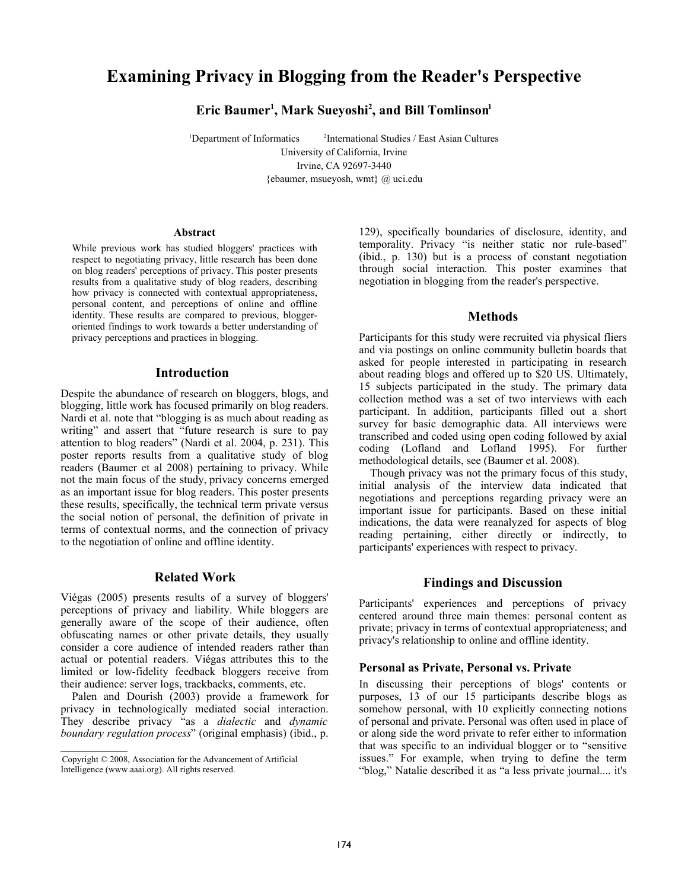# Examining Privacy in Blogging from the Reader's Perspective

Eric Baumer<sup>1</sup>, Mark Sueyoshi<sup>2</sup>, and Bill Tomlinson<sup>1</sup>

<sup>1</sup>Department of Informatics <sup>2</sup>International Studies / East Asian Cultures University of California, Irvine

Irvine, CA 92697-3440

{ebaumer, msueyosh, wmt} @ uci.edu

#### Abstract

While previous work has studied bloggers' practices with respect to negotiating privacy, little research has been done on blog readers' perceptions of privacy. This poster presents results from a qualitative study of blog readers, describing how privacy is connected with contextual appropriateness, personal content, and perceptions of online and offline identity. These results are compared to previous, bloggeroriented findings to work towards a better understanding of privacy perceptions and practices in blogging.

#### Introductio[n](#page-0-0)

Despite the abundance of research on bloggers, blogs, and blogging, little work has focused primarily on blog readers. Nardi et al. note that "blogging is as much about reading as writing" and assert that "future research is sure to pay attention to blog readers" (Nardi et al. 2004, p. 231). This poster reports results from a qualitative study of blog readers (Baumer et al 2008) pertaining to privacy. While not the main focus of the study, privacy concerns emerged as an important issue for blog readers. This poster presents these results, specifically, the technical term private versus the social notion of personal, the definition of private in terms of contextual norms, and the connection of privacy to the negotiation of online and offline identity.

### Related Work

Viégas (2005) presents results of a survey of bloggers' perceptions of privacy and liability. While bloggers are generally aware of the scope of their audience, often obfuscating names or other private details, they usually consider a core audience of intended readers rather than actual or potential readers. Viégas attributes this to the limited or low-fidelity feedback bloggers receive from their audience: server logs, trackbacks, comments, etc.

Palen and Dourish (2003) provide a framework for privacy in technologically mediated social interaction. They describe privacy "as a *dialectic* and *dynamic boundary regulation process*" (original emphasis) (ibid., p.

129), specifically boundaries of disclosure, identity, and temporality. Privacy "is neither static nor rule-based" (ibid., p. 130) but is a process of constant negotiation through social interaction. This poster examines that negotiation in blogging from the reader's perspective.

#### **Methods**

Participants for this study were recruited via physical fliers and via postings on online community bulletin boards that asked for people interested in participating in research about reading blogs and offered up to \$20 US. Ultimately, 15 subjects participated in the study. The primary data collection method was a set of two interviews with each participant. In addition, participants filled out a short survey for basic demographic data. All interviews were transcribed and coded using open coding followed by axial coding (Lofland and Lofland 1995). For further methodological details, see (Baumer et al. 2008).

Though privacy was not the primary focus of this study, initial analysis of the interview data indicated that negotiations and perceptions regarding privacy were an important issue for participants. Based on these initial indications, the data were reanalyzed for aspects of blog reading pertaining, either directly or indirectly, to participants' experiences with respect to privacy.

## Findings and Discussion

Participants' experiences and perceptions of privacy centered around three main themes: personal content as private; privacy in terms of contextual appropriateness; and privacy's relationship to online and offline identity.

#### Personal as Private, Personal vs. Private

In discussing their perceptions of blogs' contents or purposes, 13 of our 15 participants describe blogs as somehow personal, with 10 explicitly connecting notions of personal and private. Personal was often used in place of or along side the word private to refer either to information that was specific to an individual blogger or to "sensitive issues." For example, when trying to define the term "blog," Natalie described it as "a less private journal.... it's

<span id="page-0-0"></span>Copyright © 2008, Association for the Advancement of Artificial Intelligence (www.aaai.org). All rights reserved.